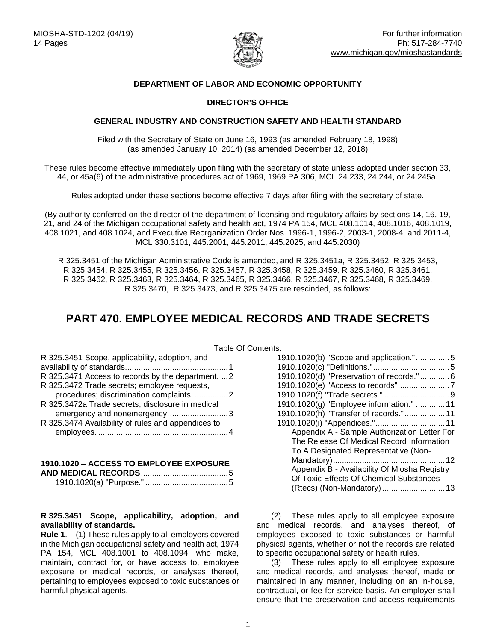

## **DEPARTMENT OF LABOR AND ECONOMIC OPPORTUNITY**

## **DIRECTOR'S OFFICE**

## **GENERAL INDUSTRY AND CONSTRUCTION SAFETY AND HEALTH STANDARD**

Filed with the Secretary of State on June 16, 1993 (as amended February 18, 1998) (as amended January 10, 2014) (as amended December 12, 2018)

These rules become effective immediately upon filing with the secretary of state unless adopted under section 33, 44, or 45a(6) of the administrative procedures act of 1969, 1969 PA 306, MCL 24.233, 24.244, or 24.245a.

Rules adopted under these sections become effective 7 days after filing with the secretary of state.

(By authority conferred on the director of the department of licensing and regulatory affairs by sections 14, 16, 19, 21, and 24 of the Michigan occupational safety and health act, 1974 PA 154, MCL 408.1014, 408.1016, 408.1019, 408.1021, and 408.1024, and Executive Reorganization Order Nos. 1996-1, 1996-2, 2003-1, 2008-4, and 2011-4, MCL 330.3101, 445.2001, 445.2011, 445.2025, and 445.2030)

R 325.3451 of the Michigan Administrative Code is amended, and R 325.3451a, R 325.3452, R 325.3453, R 325.3454, R 325.3455, R 325.3456, R 325.3457, R 325.3458, R 325.3459, R 325.3460, R 325.3461, R 325.3462, R 325.3463, R 325.3464, R 325.3465, R 325.3466, R 325.3467, R 325.3468, R 325.3469, R 325.3470, R 325.3473, and R 325.3475 are rescinded, as follows:

# **PART 470. EMPLOYEE MEDICAL RECORDS AND TRADE SECRETS**

|                                                    | Table Of Contents: |   |
|----------------------------------------------------|--------------------|---|
| R 325.3451 Scope, applicability, adoption, and     |                    |   |
|                                                    |                    |   |
| R 325.3471 Access to records by the department.  2 |                    | 1 |
| R 325.3472 Trade secrets; employee requests,       |                    | 1 |
| procedures; discrimination complaints. 2           |                    | 1 |
| R 325.3472a Trade secrets; disclosure in medical   |                    | 1 |
| emergency and nonemergency3                        |                    | 1 |
| R 325.3474 Availability of rules and appendices to |                    |   |
|                                                    |                    |   |
|                                                    |                    |   |

## **1910.1020 – [ACCESS TO EMPLOYEE EXPOSURE](#page-4-0)**

## <span id="page-0-0"></span>**R 325.3451 Scope, applicability, adoption, and availability of standards.**

**Rule 1**. (1) These rules apply to all employers covered in the Michigan occupational safety and health act, 1974 PA 154, MCL 408.1001 to 408.1094, who make, maintain, contract for, or have access to, employee exposure or medical records, or analyses thereof, pertaining to employees exposed to toxic substances or harmful physical agents.

| 1910.1020(b) "Scope and application."5       |
|----------------------------------------------|
|                                              |
| 1910.1020(d) "Preservation of records."  6   |
|                                              |
|                                              |
| 1910.1020(g) "Employee information."  11     |
| 1910.1020(h) "Transfer of records." 11       |
| 1910.1020(i) "Appendices." 11                |
| Appendix A - Sample Authorization Letter For |
| The Release Of Medical Record Information    |
| To A Designated Representative (Non-         |
|                                              |
| Appendix B - Availability Of Miosha Registry |
| Of Toxic Effects Of Chemical Substances      |
| (Rtecs) (Non-Mandatory)  13                  |

(2) These rules apply to all employee exposure and medical records, and analyses thereof, of employees exposed to toxic substances or harmful physical agents, whether or not the records are related to specific occupational safety or health rules.

(3) These rules apply to all employee exposure and medical records, and analyses thereof, made or maintained in any manner, including on an in-house, contractual, or fee-for-service basis. An employer shall ensure that the preservation and access requirements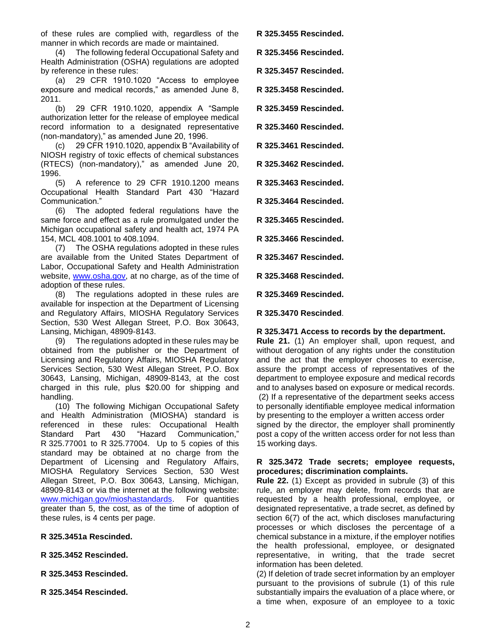of these rules are complied with, regardless of the manner in which records are made or maintained.

(4) The following federal Occupational Safety and Health Administration (OSHA) regulations are adopted by reference in these rules:

(a) 29 CFR 1910.1020 "Access to employee exposure and medical records," as amended June 8, 2011.

(b) 29 CFR 1910.1020, appendix A "Sample authorization letter for the release of employee medical record information to a designated representative (non-mandatory)," as amended June 20, 1996.

(c) 29 CFR 1910.1020, appendix B "Availability of NIOSH registry of toxic effects of chemical substances (RTECS) (non-mandatory)," as amended June 20, 1996.

(5) A reference to 29 CFR 1910.1200 means Occupational Health Standard Part 430 "Hazard Communication."

(6) The adopted federal regulations have the same force and effect as a rule promulgated under the Michigan occupational safety and health act, 1974 PA 154, MCL 408.1001 to 408.1094.

(7) The OSHA regulations adopted in these rules are available from the United States Department of Labor, Occupational Safety and Health Administration website, www.osha.gov, at no charge, as of the time of adoption of these rules.

(8) The regulations adopted in these rules are available for inspection at the Department of Licensing and Regulatory Affairs, MIOSHA Regulatory Services Section, 530 West Allegan Street, P.O. Box 30643, Lansing, Michigan, 48909-8143.

(9) The regulations adopted in these rules may be obtained from the publisher or the Department of Licensing and Regulatory Affairs, MIOSHA Regulatory Services Section, 530 West Allegan Street, P.O. Box 30643, Lansing, Michigan, 48909-8143, at the cost charged in this rule, plus \$20.00 for shipping and handling.

(10) The following Michigan Occupational Safety and Health Administration (MIOSHA) standard is referenced in these rules: Occupational Health Standard Part 430 "Hazard Communication," R 325.77001 to R 325.77004. Up to 5 copies of this standard may be obtained at no charge from the Department of Licensing and Regulatory Affairs, MIOSHA Regulatory Services Section, 530 West Allegan Street, P.O. Box 30643, Lansing, Michigan, 48909-8143 or via the internet at the following website: [www.michigan.gov/mioshastandards.](http://www.michigan.gov/mioshastandards) For quantities greater than 5, the cost, as of the time of adoption of these rules, is 4 cents per page.

**R 325.3451a Rescinded.**

**R 325.3452 Rescinded.**

- **R 325.3453 Rescinded.**
- **R 325.3454 Rescinded.**

**R 325.3455 Rescinded.** 

**R 325.3456 Rescinded.**

**R 325.3457 Rescinded.**

**R 325.3458 Rescinded.**

**R 325.3459 Rescinded.**

**R 325.3460 Rescinded.**

**R 325.3461 Rescinded.** 

**R 325.3462 Rescinded.** 

**R 325.3463 Rescinded.**

**R 325.3464 Rescinded.** 

**R 325.3465 Rescinded.** 

**R 325.3466 Rescinded.**

**R 325.3467 Rescinded.**

**R 325.3468 Rescinded.** 

**R 325.3469 Rescinded.**

**R 325.3470 Rescinded**.

#### <span id="page-1-0"></span>**R 325.3471 Access to records by the department.**

**Rule 21.** (1) An employer shall, upon request, and without derogation of any rights under the constitution and the act that the employer chooses to exercise, assure the prompt access of representatives of the department to employee exposure and medical records and to analyses based on exposure or medical records. (2) If a representative of the department seeks access to personally identifiable employee medical information by presenting to the employer a written access order signed by the director, the employer shall prominently post a copy of the written access order for not less than 15 working days.

#### <span id="page-1-1"></span>**R 325.3472 Trade secrets; employee requests, procedures; discrimination complaints.**

**Rule 22.** (1) Except as provided in subrule (3) of this rule, an employer may delete, from records that are requested by a health professional, employee, or designated representative, a trade secret, as defined by section 6(7) of the act, which discloses manufacturing processes or which discloses the percentage of a chemical substance in a mixture, if the employer notifies the health professional, employee, or designated representative, in writing, that the trade secret information has been deleted.

(2) If deletion of trade secret information by an employer pursuant to the provisions of subrule (1) of this rule substantially impairs the evaluation of a place where, or a time when, exposure of an employee to a toxic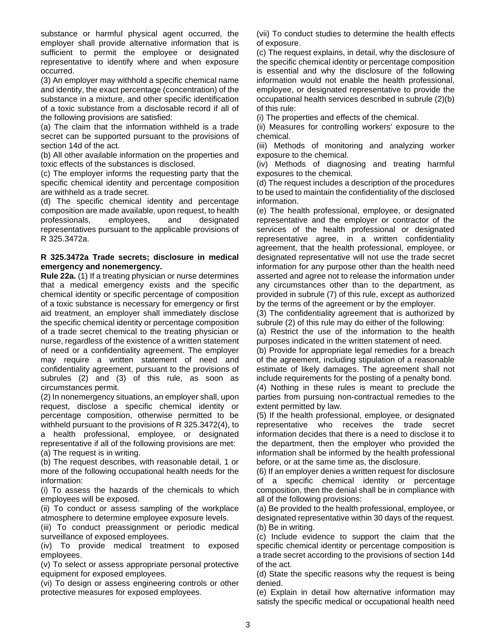substance or harmful physical agent occurred, the employer shall provide alternative information that is sufficient to permit the employee or designated representative to identify where and when exposure occurred.

(3) An employer may withhold a specific chemical name and identity, the exact percentage (concentration) of the substance in a mixture, and other specific identification of a toxic substance from a disclosable record if all of the following provisions are satisfied:

(a) The claim that the information withheld is a trade secret can be supported pursuant to the provisions of section 14d of the act.

(b) All other available information on the properties and toxic effects of the substances is disclosed.

(c) The employer informs the requesting party that the specific chemical identity and percentage composition are withheld as a trade secret.

(d) The specific chemical identity and percentage composition are made available, upon request, to health professionals, employees, and designated representatives pursuant to the applicable provisions of R 325.3472a.

## <span id="page-2-0"></span>**R 325.3472a Trade secrets; disclosure in medical emergency and nonemergency.**

**Rule 22a.** (1) If a treating physician or nurse determines that a medical emergency exists and the specific chemical identity or specific percentage of composition of a toxic substance is necessary for emergency or first aid treatment, an employer shall immediately disclose the specific chemical identity or percentage composition of a trade secret chemical to the treating physician or nurse, regardless of the existence of a written statement of need or a confidentiality agreement. The employer may require a written statement of need and confidentiality agreement, pursuant to the provisions of subrules (2) and (3) of this rule, as soon as circumstances permit.

(2) In nonemergency situations, an employer shall, upon request, disclose a specific chemical identity or percentage composition, otherwise permitted to be withheld pursuant to the provisions of R 325.3472(4), to

a health professional, employee, or designated representative if all of the following provisions are met: (a) The request is in writing.

(b) The request describes, with reasonable detail, 1 or more of the following occupational health needs for the information:

(i) To assess the hazards of the chemicals to which employees will be exposed.

(ii) To conduct or assess sampling of the workplace atmosphere to determine employee exposure levels.

(iii) To conduct preassignment or periodic medical surveillance of exposed employees.

(iv) To provide medical treatment to exposed employees.

(v) To select or assess appropriate personal protective equipment for exposed employees.

(vi) To design or assess engineering controls or other protective measures for exposed employees.

(vii) To conduct studies to determine the health effects of exposure.

(c) The request explains, in detail, why the disclosure of the specific chemical identity or percentage composition is essential and why the disclosure of the following information would not enable the health professional, employee, or designated representative to provide the occupational health services described in subrule (2)(b) of this rule:

(i) The properties and effects of the chemical.

(ii) Measures for controlling workers' exposure to the chemical.

(iii) Methods of monitoring and analyzing worker exposure to the chemical.

(iv) Methods of diagnosing and treating harmful exposures to the chemical.

(d) The request includes a description of the procedures to be used to maintain the confidentiality of the disclosed information.

(e) The health professional, employee, or designated representative and the employer or contractor of the services of the health professional or designated representative agree, in a written confidentiality agreement, that the health professional, employee, or designated representative will not use the trade secret information for any purpose other than the health need asserted and agree not to release the information under any circumstances other than to the department, as provided in subrule (7) of this rule, except as authorized by the terms of the agreement or by the employer.

(3) The confidentiality agreement that is authorized by subrule (2) of this rule may do either of the following:

(a) Restrict the use of the information to the health purposes indicated in the written statement of need.

(b) Provide for appropriate legal remedies for a breach of the agreement, including stipulation of a reasonable estimate of likely damages. The agreement shall not include requirements for the posting of a penalty bond.

(4) Nothing in these rules is meant to preclude the parties from pursuing non-contractual remedies to the extent permitted by law.

(5) If the health professional, employee, or designated representative who receives the trade secret information decides that there is a need to disclose it to the department, then the employer who provided the information shall be informed by the health professional before, or at the same time as, the disclosure.

(6) If an employer denies a written request for disclosure of a specific chemical identity or percentage composition, then the denial shall be in compliance with all of the following provisions:

(a) Be provided to the health professional, employee, or designated representative within 30 days of the request. (b) Be in writing.

(c) Include evidence to support the claim that the specific chemical identity or percentage composition is a trade secret according to the provisions of section 14d of the act.

(d) State the specific reasons why the request is being denied.

(e) Explain in detail how alternative information may satisfy the specific medical or occupational health need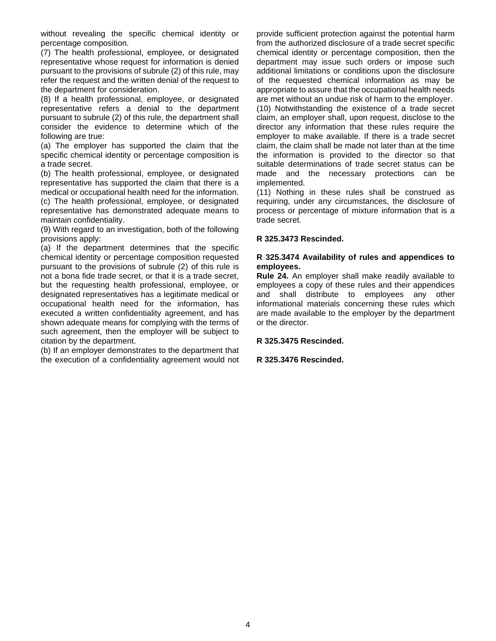without revealing the specific chemical identity or percentage composition.

(7) The health professional, employee, or designated representative whose request for information is denied pursuant to the provisions of subrule (2) of this rule, may refer the request and the written denial of the request to the department for consideration.

(8) If a health professional, employee, or designated representative refers a denial to the department pursuant to subrule (2) of this rule, the department shall consider the evidence to determine which of the following are true:

(a) The employer has supported the claim that the specific chemical identity or percentage composition is a trade secret.

(b) The health professional, employee, or designated representative has supported the claim that there is a medical or occupational health need for the information.

(c) The health professional, employee, or designated representative has demonstrated adequate means to maintain confidentiality.

(9) With regard to an investigation, both of the following provisions apply:

(a) If the department determines that the specific chemical identity or percentage composition requested pursuant to the provisions of subrule (2) of this rule is not a bona fide trade secret, or that it is a trade secret, but the requesting health professional, employee, or designated representatives has a legitimate medical or occupational health need for the information, has executed a written confidentiality agreement, and has shown adequate means for complying with the terms of such agreement, then the employer will be subject to citation by the department.

(b) If an employer demonstrates to the department that the execution of a confidentiality agreement would not provide sufficient protection against the potential harm from the authorized disclosure of a trade secret specific chemical identity or percentage composition, then the department may issue such orders or impose such additional limitations or conditions upon the disclosure of the requested chemical information as may be appropriate to assure that the occupational health needs are met without an undue risk of harm to the employer. (10) Notwithstanding the existence of a trade secret claim, an employer shall, upon request, disclose to the director any information that these rules require the employer to make available. If there is a trade secret claim, the claim shall be made not later than at the time the information is provided to the director so that suitable determinations of trade secret status can be made and the necessary protections can be implemented.

(11) Nothing in these rules shall be construed as requiring, under any circumstances, the disclosure of process or percentage of mixture information that is a trade secret.

#### **R 325.3473 Rescinded.**

## <span id="page-3-0"></span>**R 325.3474 Availability of rules and appendices to employees.**

**Rule 24.** An employer shall make readily available to employees a copy of these rules and their appendices and shall distribute to employees any other informational materials concerning these rules which are made available to the employer by the department or the director.

#### **R 325.3475 Rescinded.**

#### **R 325.3476 Rescinded.**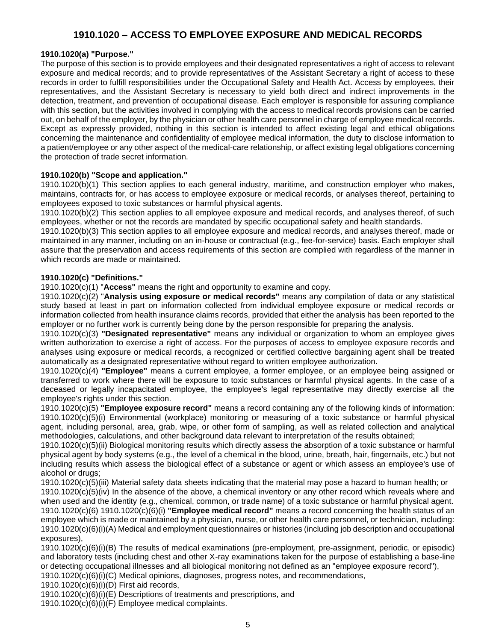# **1910.1020 – ACCESS TO EMPLOYEE EXPOSURE AND MEDICAL RECORDS**

## <span id="page-4-1"></span><span id="page-4-0"></span>**[1910.1020\(a\) "](https://www.osha.gov/laws-regs/interlinking/standards/1910.1020(a))Purpose."**

The purpose of this section is to provide employees and their designated representatives a right of access to relevant exposure and medical records; and to provide representatives of the Assistant Secretary a right of access to these records in order to fulfill responsibilities under the Occupational Safety and Health Act. Access by employees, their representatives, and the Assistant Secretary is necessary to yield both direct and indirect improvements in the detection, treatment, and prevention of occupational disease. Each employer is responsible for assuring compliance with this section, but the activities involved in complying with the access to medical records provisions can be carried out, on behalf of the employer, by the physician or other health care personnel in charge of employee medical records. Except as expressly provided, nothing in this section is intended to affect existing legal and ethical obligations concerning the maintenance and confidentiality of employee medical information, the duty to disclose information to a patient/employee or any other aspect of the medical-care relationship, or affect existing legal obligations concerning the protection of trade secret information.

## <span id="page-4-2"></span>**[1910.1020\(b\) "](https://www.osha.gov/laws-regs/interlinking/standards/1910.1020(b))Scope and application."**

[1910.1020\(b\)\(1\) T](https://www.osha.gov/laws-regs/interlinking/standards/1910.1020(b)(1))his section applies to each general industry, maritime, and construction employer who makes, maintains, contracts for, or has access to employee exposure or medical records, or analyses thereof, pertaining to employees exposed to toxic substances or harmful physical agents.

1910.1020(b)(2) This section applies to all employee exposure and medical records, and analyses thereof, of such employees, whether or not the records are mandated by specific occupational safety and health standards.

1910.1020(b)(3) This section applies to all employee exposure and medical records, and analyses thereof, made or maintained in any manner, including on an in-house or contractual (e.g., fee-for-service) basis. Each employer shall assure that the preservation and access requirements of this section are complied with regardless of the manner in which records are made or maintained.

## <span id="page-4-3"></span>**[1910.1020\(c\) "](https://www.osha.gov/laws-regs/interlinking/standards/1910.1020(c))Definitions."**

1910.1020(c)(1) "**Access"** means the right and opportunity to examine and copy.

1910.1020(c)(2) "**Analysis using exposure or medical records"** means any compilation of data or any statistical study based at least in part on information collected from individual employee exposure or medical records or information collected from health insurance claims records, provided that either the analysis has been reported to the employer or no further work is currently being done by the person responsible for preparing the analysis.

[1910.1020\(c\)\(3\)](https://www.osha.gov/laws-regs/interlinking/standards/1910.1020(c)(3)) **"Designated representative"** means any individual or organization to whom an employee gives written authorization to exercise a right of access. For the purposes of access to employee exposure records and analyses using exposure or medical records, a recognized or certified collective bargaining agent shall be treated automatically as a designated representative without regard to written employee authorization.

1910.1020(c)(4) **"Employee"** means a current employee, a former employee, or an employee being assigned or transferred to work where there will be exposure to toxic substances or harmful physical agents. In the case of a deceased or legally incapacitated employee, the employee's legal representative may directly exercise all the employee's rights under this section.

[1910.1020\(c\)\(5\)](https://www.osha.gov/laws-regs/interlinking/standards/1910.1020(c)(5)) **"Employee exposure record"** means a record containing any of the following kinds of information: [1910.1020\(c\)\(5\)\(i\) E](https://www.osha.gov/laws-regs/interlinking/standards/1910.1020(c)(5)(i))nvironmental (workplace) monitoring or measuring of a toxic substance or harmful physical agent, including personal, area, grab, wipe, or other form of sampling, as well as related collection and analytical methodologies, calculations, and other background data relevant to interpretation of the results obtained;

1910.1020(c)(5)(ii) Biological monitoring results which directly assess the absorption of a toxic substance or harmful physical agent by body systems (e.g., the level of a chemical in the blood, urine, breath, hair, fingernails, etc.) but not including results which assess the biological effect of a substance or agent or which assess an employee's use of alcohol or drugs;

[1910.1020\(c\)\(5\)\(iii\) M](https://www.osha.gov/laws-regs/interlinking/standards/1910.1020(c)(5)(iii))aterial safety data sheets indicating that the material may pose a hazard to human health; or 1910.1020(c)(5)(iv) In the absence of the above, a chemical inventory or any other record which reveals where and when used and the identity (e.g., chemical, common, or trade name) of a toxic substance or harmful physical agent. [1910.1020\(c\)\(6\) 1](https://www.osha.gov/laws-regs/interlinking/standards/1910.1020(c)(6))910.1020(c)(6)(i) **"Employee medical record"** means a record concerning the health status of an employee which is made or maintained by a physician, nurse, or other health care personnel, or technician, including: 1910.1020(c)(6)(i)(A) Medical and employment questionnaires or histories (including job description and occupational exposures),

[1910.1020\(c\)\(6\)\(i\)\(B\) T](https://www.osha.gov/laws-regs/interlinking/standards/1910.1020(c)(6)(i)(B))he results of medical examinations (pre-employment, pre-assignment, periodic, or episodic) and laboratory tests (including chest and other X-ray examinations taken for the purpose of establishing a base-line or detecting occupational illnesses and all biological monitoring not defined as an "employee exposure record"),

1910.1020(c)(6)(i)(C) Medical opinions, diagnoses, progress notes, and recommendations,

1910.1020(c)(6)(i)(D) First aid records,

1910.1020(c)(6)(i)(E) Descriptions of treatments and prescriptions, and

1910.1020(c)(6)(i)(F) Employee medical complaints.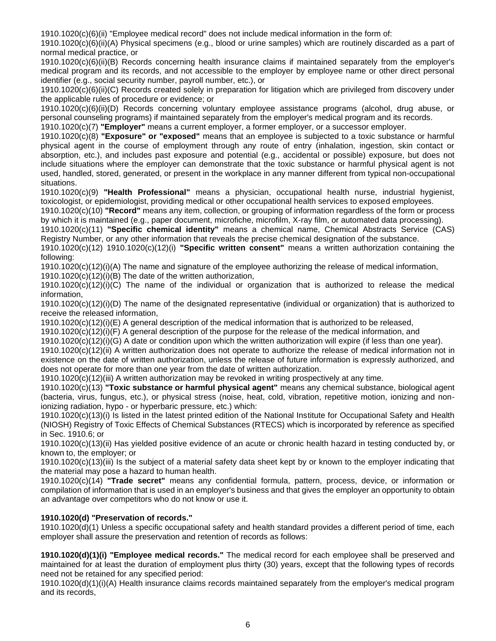1910.1020(c)(6)(ii) "Employee medical record" does not include medical information in the form of:

1910.1020(c)(6)(ii)(A) Physical specimens (e.g., blood or urine samples) which are routinely discarded as a part of normal medical practice, or

1910.1020(c)(6)(ii)(B) Records concerning health insurance claims if maintained separately from the employer's medical program and its records, and not accessible to the employer by employee name or other direct personal identifier (e.g., social security number, payroll number, etc.), or

[1910.1020\(c\)\(6\)\(ii\)\(C\) R](https://www.osha.gov/laws-regs/interlinking/standards/1910.1020(c)(6)(ii)(C))ecords created solely in preparation for litigation which are privileged from discovery under the applicable rules of procedure or evidence; or

1910.1020(c)(6)(ii)(D) Records concerning voluntary employee assistance programs (alcohol, drug abuse, or personal counseling programs) if maintained separately from the employer's medical program and its records.

[1910.1020\(c\)\(7\)](https://www.osha.gov/laws-regs/interlinking/standards/1910.1020(c)(7)) **"Employer"** means a current employer, a former employer, or a successor employer.

[1910.1020\(c\)\(8\)](https://www.osha.gov/laws-regs/interlinking/standards/1910.1020(c)(8)) **"Exposure" or "exposed"** means that an employee is subjected to a toxic substance or harmful physical agent in the course of employment through any route of entry (inhalation, ingestion, skin contact or absorption, etc.), and includes past exposure and potential (e.g., accidental or possible) exposure, but does not include situations where the employer can demonstrate that the toxic substance or harmful physical agent is not used, handled, stored, generated, or present in the workplace in any manner different from typical non-occupational situations.

1910.1020(c)(9) **"Health Professional"** means a physician, occupational health nurse, industrial hygienist, toxicologist, or epidemiologist, providing medical or other occupational health services to exposed employees.

[1910.1020\(c\)\(10\)](https://www.osha.gov/laws-regs/interlinking/standards/1910.1020(c)(10)) **"Record"** means any item, collection, or grouping of information regardless of the form or process by which it is maintained (e.g., paper document, microfiche, microfilm, X-ray film, or automated data processing).

1910.1020(c)(11) **"Specific chemical identity"** means a chemical name, Chemical Abstracts Service (CAS) Registry Number, or any other information that reveals the precise chemical designation of the substance.

1910.1020(c)(12) 1910.1020(c)(12)(i) **"Specific written consent"** means a written authorization containing the following:

1910.1020(c)(12)(i)(A) The name and signature of the employee authorizing the release of medical information,

1910.1020(c)(12)(i)(B) The date of the written authorization,

1910.1020(c)(12)(i)(C) The name of the individual or organization that is authorized to release the medical information,

1910.1020(c)(12)(i)(D) The name of the designated representative (individual or organization) that is authorized to receive the released information,

1910.1020(c)(12)(i)(E) A general description of the medical information that is authorized to be released,

1910.1020(c)(12)(i)(F) A general description of the purpose for the release of the medical information, and

1910.1020(c)(12)(i)(G) A date or condition upon which the written authorization will expire (if less than one year).

1910.1020(c)(12)(ii) A written authorization does not operate to authorize the release of medical information not in existence on the date of written authorization, unless the release of future information is expressly authorized, and does not operate for more than one year from the date of written authorization.

1910.1020(c)(12)(iii) A written authorization may be revoked in writing prospectively at any time.

[1910.1020\(c\)\(13\)](https://www.osha.gov/laws-regs/interlinking/standards/1910.1020(c)(13)) **"Toxic substance or harmful physical agent"** means any chemical substance, biological agent (bacteria, virus, fungus, etc.), or physical stress (noise, heat, cold, vibration, repetitive motion, ionizing and nonionizing radiation, hypo - or hyperbaric pressure, etc.) which:

1910.1020(c)(13)(i) Is listed in the latest printed edition of the National Institute for Occupational Safety and Health (NIOSH) Registry of Toxic Effects of Chemical Substances (RTECS) which is incorporated by reference as specified in Sec. 1910.6; or

1910.1020(c)(13)(ii) Has yielded positive evidence of an acute or chronic health hazard in testing conducted by, or known to, the employer; or

1910.1020(c)(13)(iii) Is the subject of a material safety data sheet kept by or known to the employer indicating that the material may pose a hazard to human health.

[1910.1020\(c\)\(14\)](https://www.osha.gov/laws-regs/interlinking/standards/1910.1020(c)(14)) **"Trade secret"** means any confidential formula, pattern, process, device, or information or compilation of information that is used in an employer's business and that gives the employer an opportunity to obtain an advantage over competitors who do not know or use it.

## <span id="page-5-0"></span>**[1910.1020\(d\) "](https://www.osha.gov/laws-regs/interlinking/standards/1910.1020(d))Preservation of records."**

[1910.1020\(d\)\(1\) U](https://www.osha.gov/laws-regs/interlinking/standards/1910.1020(d)(1))nless a specific occupational safety and health standard provides a different period of time, each employer shall assure the preservation and retention of records as follows:

**[1910.1020\(d\)\(1\)\(i\) "](https://www.osha.gov/laws-regs/interlinking/standards/1910.1020(d)(1)(i))Employee medical records."** The medical record for each employee shall be preserved and maintained for at least the duration of employment plus thirty (30) years, except that the following types of records need not be retained for any specified period:

1910.1020(d)(1)(i)(A) Health insurance claims records maintained separately from the employer's medical program and its records,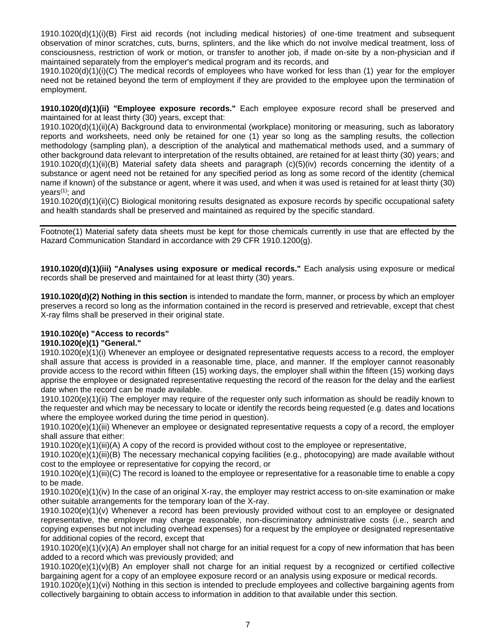1910.1020(d)(1)(i)(B) First aid records (not including medical histories) of one-time treatment and subsequent observation of minor scratches, cuts, burns, splinters, and the like which do not involve medical treatment, loss of consciousness, restriction of work or motion, or transfer to another job, if made on-site by a non-physician and if maintained separately from the employer's medical program and its records, and

1910.1020(d)(1)(i)(C) The medical records of employees who have worked for less than (1) year for the employer need not be retained beyond the term of employment if they are provided to the employee upon the termination of employment.

**[1910.1020\(d\)\(1\)\(ii\) "](https://www.osha.gov/laws-regs/interlinking/standards/1910.1020(d)(1)(ii))Employee exposure records."** Each employee exposure record shall be preserved and maintained for at least thirty (30) years, except that:

1910.1020(d)(1)(ii)(A) Background data to environmental (workplace) monitoring or measuring, such as laboratory reports and worksheets, need only be retained for one (1) year so long as the sampling results, the collection methodology (sampling plan), a description of the analytical and mathematical methods used, and a summary of other background data relevant to interpretation of the results obtained, are retained for at least thirty (30) years; and [1910.1020\(d\)\(1\)\(ii\)\(B\) M](https://www.osha.gov/laws-regs/interlinking/standards/1910.1020(d)(1)(ii)(B))aterial safety data sheets and paragraph (c)(5)(iv) records concerning the identity of a substance or agent need not be retained for any specified period as long as some record of the identity (chemical name if known) of the substance or agent, where it was used, and when it was used is retained for at least thirty (30)  $years<sup>(1)</sup>; and$ 

1910.1020(d)(1)(ii)(C) Biological monitoring results designated as exposure records by specific occupational safety and health standards shall be preserved and maintained as required by the specific standard.

Footnote(1) Material safety data sheets must be kept for those chemicals currently in use that are effected by the Hazard Communication Standard in accordance with 29 CFR 1910.1200(g).

**1910.1020(d)(1)(iii) "Analyses using exposure or medical records."** Each analysis using exposure or medical records shall be preserved and maintained for at least thirty (30) years.

**[1910.1020\(d\)\(2\) N](https://www.osha.gov/laws-regs/interlinking/standards/1910.1020(d)(2))othing in this section** is intended to mandate the form, manner, or process by which an employer preserves a record so long as the information contained in the record is preserved and retrievable, except that chest X-ray films shall be preserved in their original state.

## <span id="page-6-0"></span>**[1910.1020\(e\) "](https://www.osha.gov/laws-regs/interlinking/standards/1910.1020(e))Access to records"**

## **1910.1020(e)(1) "General."**

[1910.1020\(e\)\(1\)\(i\) W](https://www.osha.gov/laws-regs/interlinking/standards/1910.1020(e)(1)(i))henever an employee or designated representative requests access to a record, the employer shall assure that access is provided in a reasonable time, place, and manner. If the employer cannot reasonably provide access to the record within fifteen (15) working days, the employer shall within the fifteen (15) working days apprise the employee or designated representative requesting the record of the reason for the delay and the earliest date when the record can be made available.

1910.1020(e)(1)(ii) The employer may require of the requester only such information as should be readily known to the requester and which may be necessary to locate or identify the records being requested (e.g. dates and locations where the employee worked during the time period in question).

1910.1020(e)(1)(iii) Whenever an employee or designated representative requests a copy of a record, the employer shall assure that either:

[1910.1020\(e\)\(1\)\(iii\)\(A\) A](https://www.osha.gov/laws-regs/interlinking/standards/1910.1020(e)(1)(iii)(A)) copy of the record is provided without cost to the employee or representative,

[1910.1020\(e\)\(1\)\(iii\)\(B\) T](https://www.osha.gov/laws-regs/interlinking/standards/1910.1020(e)(1)(iii)(B))he necessary mechanical copying facilities (e.g., photocopying) are made available without cost to the employee or representative for copying the record, or

1910.1020(e)(1)(iii)(C) The record is loaned to the employee or representative for a reasonable time to enable a copy to be made.

[1910.1020\(e\)\(1\)\(iv\) I](https://www.osha.gov/laws-regs/interlinking/standards/1910.1020(e)(1)(iv))n the case of an original X-ray, the employer may restrict access to on-site examination or make other suitable arrangements for the temporary loan of the X-ray.

1910.1020(e)(1)(v) Whenever a record has been previously provided without cost to an employee or designated representative, the employer may charge reasonable, non-discriminatory administrative costs (i.e., search and copying expenses but not including overhead expenses) for a request by the employee or designated representative for additional copies of the record, except that

1910.1020(e)(1)(v)(A) An employer shall not charge for an initial request for a copy of new information that has been added to a record which was previously provided; and

1910.1020(e)(1)(v)(B) An employer shall not charge for an initial request by a recognized or certified collective bargaining agent for a copy of an employee exposure record or an analysis using exposure or medical records.

1910.1020(e)(1)(vi) Nothing in this section is intended to preclude employees and collective bargaining agents from collectively bargaining to obtain access to information in addition to that available under this section.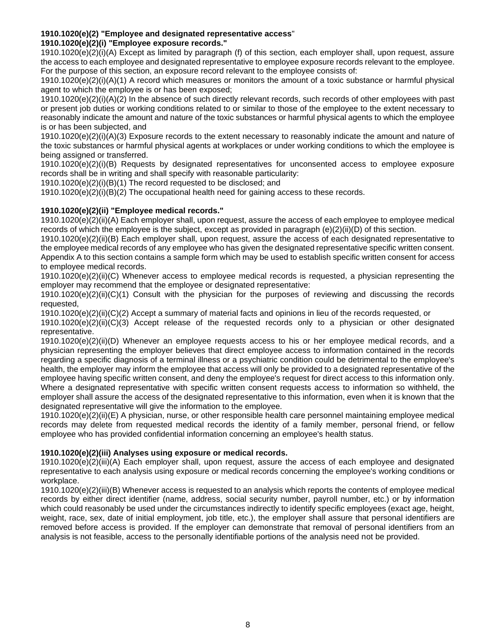## **[1910.1020\(e\)\(2\) "](https://www.osha.gov/laws-regs/interlinking/standards/1910.1020(e)(2))Employee and designated representative access**"

## **1910.1020(e)(2)(i) "Employee exposure records."**

1910.1020(e)(2)(i)(A) Except as limited by paragraph (f) of this section, each employer shall, upon request, assure the access to each employee and designated representative to employee exposure records relevant to the employee. For the purpose of this section, an exposure record relevant to the employee consists of:

1910.1020(e)(2)(i)(A)(1) A record which measures or monitors the amount of a toxic substance or harmful physical agent to which the employee is or has been exposed;

1910.1020(e)(2)(i)(A)(2) In the absence of such directly relevant records, such records of other employees with past or present job duties or working conditions related to or similar to those of the employee to the extent necessary to reasonably indicate the amount and nature of the toxic substances or harmful physical agents to which the employee is or has been subjected, and

1910.1020(e)(2)(i)(A)(3) Exposure records to the extent necessary to reasonably indicate the amount and nature of the toxic substances or harmful physical agents at workplaces or under working conditions to which the employee is being assigned or transferred.

1910.1020(e)(2)(i)(B) Requests by designated representatives for unconsented access to employee exposure records shall be in writing and shall specify with reasonable particularity:

1910.1020(e)(2)(i)(B)(1) The record requested to be disclosed; and

 $1910.1020(e)(2)(i)(B)(2)$  The occupational health need for gaining access to these records.

## **1910.1020(e)(2)(ii) "Employee medical records."**

1910.1020(e)(2)(ii)(A) Each employer shall, upon request, assure the access of each employee to employee medical records of which the employee is the subject, except as provided in paragraph (e)(2)(ii)(D) of this section.

1910.1020(e)(2)(ii)(B) Each employer shall, upon request, assure the access of each designated representative to the employee medical records of any employee who has given the designated representative specific written consent. Appendix A to this section contains a sample form which may be used to establish specific written consent for access to employee medical records.

1910.1020(e)(2)(ii)(C) Whenever access to employee medical records is requested, a physician representing the employer may recommend that the employee or designated representative:

1910.1020(e)(2)(ii)(C)(1) Consult with the physician for the purposes of reviewing and discussing the records requested,

1910.1020(e)(2)(ii)(C)(2) Accept a summary of material facts and opinions in lieu of the records requested, or

1910.1020(e)(2)(ii)(C)(3) Accept release of the requested records only to a physician or other designated representative.

1910.1020(e)(2)(ii)(D) Whenever an employee requests access to his or her employee medical records, and a physician representing the employer believes that direct employee access to information contained in the records regarding a specific diagnosis of a terminal illness or a psychiatric condition could be detrimental to the employee's health, the employer may inform the employee that access will only be provided to a designated representative of the employee having specific written consent, and deny the employee's request for direct access to this information only. Where a designated representative with specific written consent requests access to information so withheld, the employer shall assure the access of the designated representative to this information, even when it is known that the designated representative will give the information to the employee.

1910.1020(e)(2)(ii)(E) A physician, nurse, or other responsible health care personnel maintaining employee medical records may delete from requested medical records the identity of a family member, personal friend, or fellow employee who has provided confidential information concerning an employee's health status.

## **1910.1020(e)(2)(iii) Analyses using exposure or medical records.**

1910.1020(e)(2)(iii)(A) Each employer shall, upon request, assure the access of each employee and designated representative to each analysis using exposure or medical records concerning the employee's working conditions or workplace.

1910.1020(e)(2)(iii)(B) Whenever access is requested to an analysis which reports the contents of employee medical records by either direct identifier (name, address, social security number, payroll number, etc.) or by information which could reasonably be used under the circumstances indirectly to identify specific employees (exact age, height, weight, race, sex, date of initial employment, job title, etc.), the employer shall assure that personal identifiers are removed before access is provided. If the employer can demonstrate that removal of personal identifiers from an analysis is not feasible, access to the personally identifiable portions of the analysis need not be provided.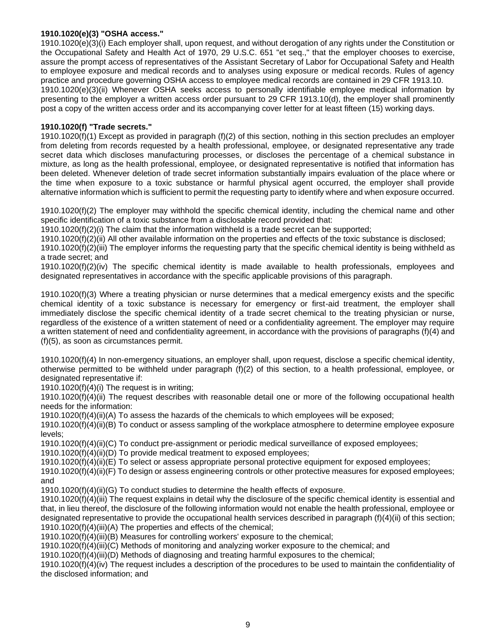## **1910.1020(e)(3) "OSHA access."**

1910.1020(e)(3)(i) Each employer shall, upon request, and without derogation of any rights under the Constitution or the Occupational Safety and Health Act of 1970, 29 U.S.C. 651 "et seq.," that the employer chooses to exercise, assure the prompt access of representatives of the Assistant Secretary of Labor for Occupational Safety and Health to employee exposure and medical records and to analyses using exposure or medical records. Rules of agency practice and procedure governing OSHA access to employee medical records are contained in 29 CFR 1913.10. 1910.1020(e)(3)(ii) Whenever OSHA seeks access to personally identifiable employee medical information by presenting to the employer a written access order pursuant to 29 CFR 1913.10(d), the employer shall prominently post a copy of the written access order and its accompanying cover letter for at least fifteen (15) working days.

## <span id="page-8-0"></span>**1910.1020(f) "Trade secrets."**

1910.1020(f)(1) Except as provided in paragraph (f)(2) of this section, nothing in this section precludes an employer from deleting from records requested by a health professional, employee, or designated representative any trade secret data which discloses manufacturing processes, or discloses the percentage of a chemical substance in mixture, as long as the health professional, employee, or designated representative is notified that information has been deleted. Whenever deletion of trade secret information substantially impairs evaluation of the place where or the time when exposure to a toxic substance or harmful physical agent occurred, the employer shall provide alternative information which is sufficient to permit the requesting party to identify where and when exposure occurred.

1910.1020(f)(2) The employer may withhold the specific chemical identity, including the chemical name and other specific identification of a toxic substance from a disclosable record provided that:

1910.1020(f)(2)(i) The claim that the information withheld is a trade secret can be supported;

1910.1020(f)(2)(ii) All other available information on the properties and effects of the toxic substance is disclosed;

1910.1020(f)(2)(iii) The employer informs the requesting party that the specific chemical identity is being withheld as a trade secret; and

1910.1020(f)(2)(iv) The specific chemical identity is made available to health professionals, employees and designated representatives in accordance with the specific applicable provisions of this paragraph.

1910.1020(f)(3) Where a treating physician or nurse determines that a medical emergency exists and the specific chemical identity of a toxic substance is necessary for emergency or first-aid treatment, the employer shall immediately disclose the specific chemical identity of a trade secret chemical to the treating physician or nurse, regardless of the existence of a written statement of need or a confidentiality agreement. The employer may require a written statement of need and confidentiality agreement, in accordance with the provisions of paragraphs (f)(4) and (f)(5), as soon as circumstances permit.

[1910.1020\(f\)\(4\) I](https://www.osha.gov/laws-regs/interlinking/standards/1910.1020(f)(4))n non-emergency situations, an employer shall, upon request, disclose a specific chemical identity, otherwise permitted to be withheld under paragraph (f)(2) of this section, to a health professional, employee, or designated representative if:

1910.1020(f)(4)(i) The request is in writing;

[1910.1020\(f\)\(4\)\(ii\) T](https://www.osha.gov/laws-regs/interlinking/standards/1910.1020(f)(4)(ii))he request describes with reasonable detail one or more of the following occupational health needs for the information:

1910.1020(f)(4)(ii)(A) To assess the hazards of the chemicals to which employees will be exposed;

1910.1020(f)(4)(ii)(B) To conduct or assess sampling of the workplace atmosphere to determine employee exposure levels;

1910.1020(f)(4)(ii)(C) To conduct pre-assignment or periodic medical surveillance of exposed employees;

1910.1020(f)(4)(ii)(D) To provide medical treatment to exposed employees;

1910.1020(f)(4)(ii)(E) To select or assess appropriate personal protective equipment for exposed employees;

1910.1020(f)(4)(ii)(F) To design or assess engineering controls or other protective measures for exposed employees; and

1910.1020(f)(4)(ii)(G) To conduct studies to determine the health effects of exposure.

1910.1020(f)(4)(iii) The request explains in detail why the disclosure of the specific chemical identity is essential and that, in lieu thereof, the disclosure of the following information would not enable the health professional, employee or designated representative to provide the occupational health services described in paragraph (f)(4)(ii) of this section; 1910.1020(f)(4)(iii)(A) The properties and effects of the chemical;

1910.1020(f)(4)(iii)(B) Measures for controlling workers' exposure to the chemical;

1910.1020(f)(4)(iii)(C) Methods of monitoring and analyzing worker exposure to the chemical; and

1910.1020(f)(4)(iii)(D) Methods of diagnosing and treating harmful exposures to the chemical;

[1910.1020\(f\)\(4\)\(iv\) T](https://www.osha.gov/laws-regs/interlinking/standards/1910.1020(f)(4)(iv))he request includes a description of the procedures to be used to maintain the confidentiality of the disclosed information; and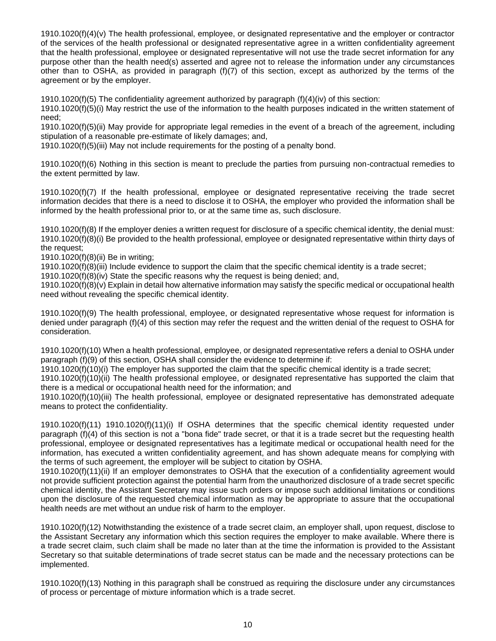1910.1020(f)(4)(v) The health professional, employee, or designated representative and the employer or contractor of the services of the health professional or designated representative agree in a written confidentiality agreement that the health professional, employee or designated representative will not use the trade secret information for any purpose other than the health need(s) asserted and agree not to release the information under any circumstances other than to OSHA, as provided in paragraph (f)(7) of this section, except as authorized by the terms of the agreement or by the employer.

1910.1020(f)(5) The confidentiality agreement authorized by paragraph  $(f)(4)(iv)$  of this section:

1910.1020(f)(5)(i) May restrict the use of the information to the health purposes indicated in the written statement of need;

1910.1020(f)(5)(ii) May provide for appropriate legal remedies in the event of a breach of the agreement, including stipulation of a reasonable pre-estimate of likely damages; and,

1910.1020(f)(5)(iii) May not include requirements for the posting of a penalty bond.

1910.1020(f)(6) Nothing in this section is meant to preclude the parties from pursuing non-contractual remedies to the extent permitted by law.

1910.1020(f)(7) If the health professional, employee or designated representative receiving the trade secret information decides that there is a need to disclose it to OSHA, the employer who provided the information shall be informed by the health professional prior to, or at the same time as, such disclosure.

1910.1020(f)(8) If the employer denies a written request for disclosure of a specific chemical identity, the denial must: 1910.1020(f)(8)(i) Be provided to the health professional, employee or designated representative within thirty days of the request;

1910.1020(f)(8)(ii) Be in writing;

1910.1020(f)(8)(iii) Include evidence to support the claim that the specific chemical identity is a trade secret;

1910.1020(f)(8)(iv) State the specific reasons why the request is being denied; and,

1910.1020(f)(8)(v) Explain in detail how alternative information may satisfy the specific medical or occupational health need without revealing the specific chemical identity.

1910.1020(f)(9) The health professional, employee, or designated representative whose request for information is denied under paragraph (f)(4) of this section may refer the request and the written denial of the request to OSHA for consideration.

1910.1020(f)(10) When a health professional, employee, or designated representative refers a denial to OSHA under paragraph (f)(9) of this section, OSHA shall consider the evidence to determine if:

1910.1020(f)(10)(i) The employer has supported the claim that the specific chemical identity is a trade secret;

1910.1020(f)(10)(ii) The health professional employee, or designated representative has supported the claim that there is a medical or occupational health need for the information; and

1910.1020(f)(10)(iii) The health professional, employee or designated representative has demonstrated adequate means to protect the confidentiality.

1910.1020(f)(11) 1910.1020(f)(11)(i) If OSHA determines that the specific chemical identity requested under paragraph (f)(4) of this section is not a "bona fide" trade secret, or that it is a trade secret but the requesting health professional, employee or designated representatives has a legitimate medical or occupational health need for the information, has executed a written confidentiality agreement, and has shown adequate means for complying with the terms of such agreement, the employer will be subject to citation by OSHA.

1910.1020(f)(11)(ii) If an employer demonstrates to OSHA that the execution of a confidentiality agreement would not provide sufficient protection against the potential harm from the unauthorized disclosure of a trade secret specific chemical identity, the Assistant Secretary may issue such orders or impose such additional limitations or conditions upon the disclosure of the requested chemical information as may be appropriate to assure that the occupational health needs are met without an undue risk of harm to the employer.

1910.1020(f)(12) Notwithstanding the existence of a trade secret claim, an employer shall, upon request, disclose to the Assistant Secretary any information which this section requires the employer to make available. Where there is a trade secret claim, such claim shall be made no later than at the time the information is provided to the Assistant Secretary so that suitable determinations of trade secret status can be made and the necessary protections can be implemented.

1910.1020(f)(13) Nothing in this paragraph shall be construed as requiring the disclosure under any circumstances of process or percentage of mixture information which is a trade secret.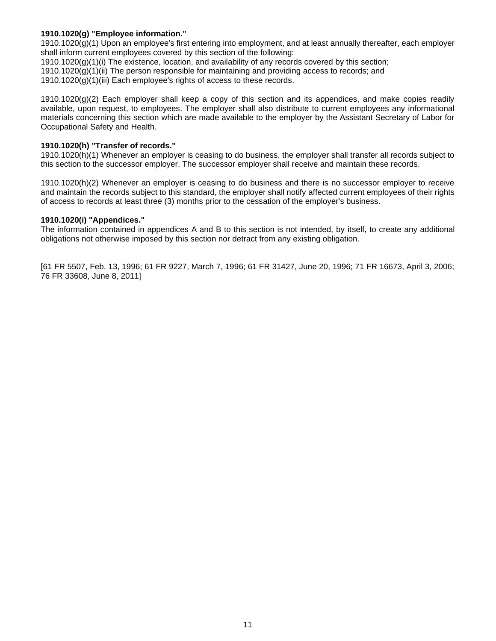## <span id="page-10-0"></span>**1910.1020(g) "Employee information."**

[1910.1020\(g\)\(1\) U](https://www.osha.gov/laws-regs/interlinking/standards/1910.1020(g)(1))pon an employee's first entering into employment, and at least annually thereafter, each employer shall inform current employees covered by this section of the following:

1910.1020(g)(1)(i) The existence, location, and availability of any records covered by this section;

1910.1020(g)(1)(ii) The person responsible for maintaining and providing access to records; and

1910.1020(g)(1)(iii) Each employee's rights of access to these records.

1910.1020(g)(2) Each employer shall keep a copy of this section and its appendices, and make copies readily available, upon request, to employees. The employer shall also distribute to current employees any informational materials concerning this section which are made available to the employer by the Assistant Secretary of Labor for Occupational Safety and Health.

## <span id="page-10-1"></span>**[1910.1020\(h\) "](https://www.osha.gov/laws-regs/interlinking/standards/1910.1020(h))Transfer of records."**

[1910.1020\(h\)\(1\) W](https://www.osha.gov/laws-regs/interlinking/standards/1910.1020(h)(1))henever an employer is ceasing to do business, the employer shall transfer all records subject to this section to the successor employer. The successor employer shall receive and maintain these records.

1910.1020(h)(2) Whenever an employer is ceasing to do business and there is no successor employer to receive and maintain the records subject to this standard, the employer shall notify affected current employees of their rights of access to records at least three (3) months prior to the cessation of the employer's business.

#### <span id="page-10-2"></span>**1910.1020(i) "Appendices."**

The information contained in appendices A and B to this section is not intended, by itself, to create any additional obligations not otherwise imposed by this section nor detract from any existing obligation.

[61 FR 5507, Feb. 13, 1996; 61 FR 9227, March 7, 1996; 61 FR 31427, June 20, 1996; 71 FR 16673, April 3, 2006; 76 FR 33608, June 8, 2011]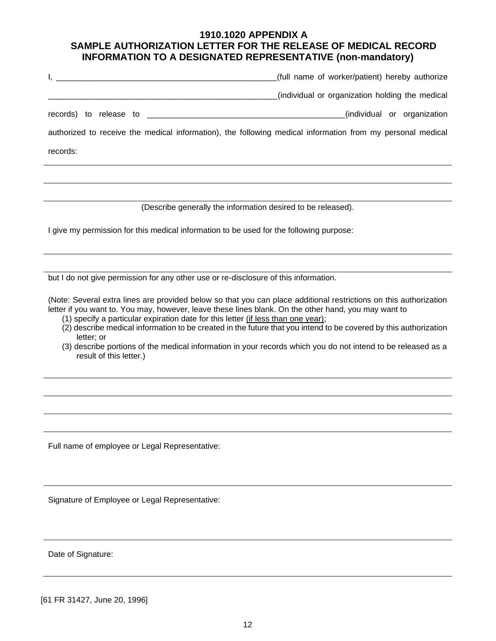# <span id="page-11-0"></span>**1910.1020 APPENDIX A SAMPLE AUTHORIZATION LETTER FOR THE RELEASE OF MEDICAL RECORD INFORMATION TO A DESIGNATED REPRESENTATIVE (non-mandatory)**

<span id="page-11-1"></span>

| (full name of worker/patient) hereby authorize                                                                                                                                                                                                                                                                                                                                                                                                                                                                                                                                              |  |
|---------------------------------------------------------------------------------------------------------------------------------------------------------------------------------------------------------------------------------------------------------------------------------------------------------------------------------------------------------------------------------------------------------------------------------------------------------------------------------------------------------------------------------------------------------------------------------------------|--|
| (individual or organization holding the medical                                                                                                                                                                                                                                                                                                                                                                                                                                                                                                                                             |  |
| (individual or organization                                                                                                                                                                                                                                                                                                                                                                                                                                                                                                                                                                 |  |
| authorized to receive the medical information), the following medical information from my personal medical                                                                                                                                                                                                                                                                                                                                                                                                                                                                                  |  |
| records:                                                                                                                                                                                                                                                                                                                                                                                                                                                                                                                                                                                    |  |
|                                                                                                                                                                                                                                                                                                                                                                                                                                                                                                                                                                                             |  |
|                                                                                                                                                                                                                                                                                                                                                                                                                                                                                                                                                                                             |  |
| (Describe generally the information desired to be released).                                                                                                                                                                                                                                                                                                                                                                                                                                                                                                                                |  |
| I give my permission for this medical information to be used for the following purpose:                                                                                                                                                                                                                                                                                                                                                                                                                                                                                                     |  |
|                                                                                                                                                                                                                                                                                                                                                                                                                                                                                                                                                                                             |  |
| but I do not give permission for any other use or re-disclosure of this information.                                                                                                                                                                                                                                                                                                                                                                                                                                                                                                        |  |
| (Note: Several extra lines are provided below so that you can place additional restrictions on this authorization<br>letter if you want to. You may, however, leave these lines blank. On the other hand, you may want to<br>(1) specify a particular expiration date for this letter (if less than one year);<br>(2) describe medical information to be created in the future that you intend to be covered by this authorization<br>letter; or<br>(3) describe portions of the medical information in your records which you do not intend to be released as a<br>result of this letter.) |  |
|                                                                                                                                                                                                                                                                                                                                                                                                                                                                                                                                                                                             |  |
|                                                                                                                                                                                                                                                                                                                                                                                                                                                                                                                                                                                             |  |
|                                                                                                                                                                                                                                                                                                                                                                                                                                                                                                                                                                                             |  |

Full name of employee or Legal Representative:

Signature of Employee or Legal Representative:

Date of Signature: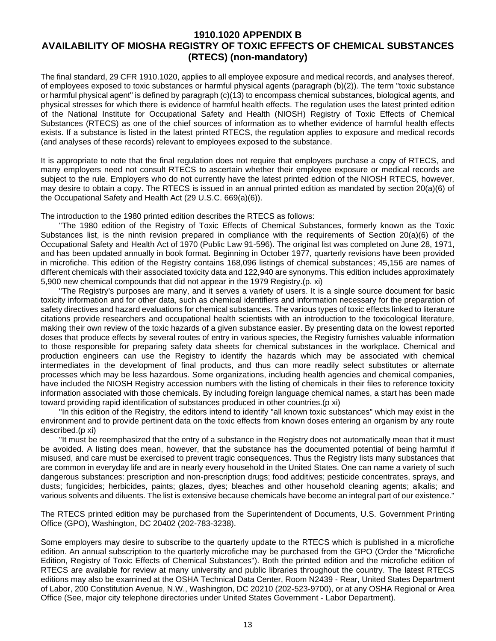## <span id="page-12-1"></span><span id="page-12-0"></span>**1910.1020 APPENDIX B AVAILABILITY OF MIOSHA REGISTRY OF TOXIC EFFECTS OF CHEMICAL SUBSTANCES (RTECS) (non-mandatory)**

The final standard, 29 CFR 1910.1020, applies to all employee exposure and medical records, and analyses thereof, of employees exposed to toxic substances or harmful physical agents (paragraph (b)(2)). The term "toxic substance or harmful physical agent" is defined by paragraph (c)(13) to encompass chemical substances, biological agents, and physical stresses for which there is evidence of harmful health effects. The regulation uses the latest printed edition of the National Institute for Occupational Safety and Health (NIOSH) Registry of Toxic Effects of Chemical Substances (RTECS) as one of the chief sources of information as to whether evidence of harmful health effects exists. If a substance is listed in the latest printed RTECS, the regulation applies to exposure and medical records (and analyses of these records) relevant to employees exposed to the substance.

It is appropriate to note that the final regulation does not require that employers purchase a copy of RTECS, and many employers need not consult RTECS to ascertain whether their employee exposure or medical records are subject to the rule. Employers who do not currently have the latest printed edition of the NIOSH RTECS, however, may desire to obtain a copy. The RTECS is issued in an annual printed edition as mandated by section 20(a)(6) of the Occupational Safety and Health Act (29 U.S.C. 669(a)(6)).

The introduction to the 1980 printed edition describes the RTECS as follows:

"The 1980 edition of the Registry of Toxic Effects of Chemical Substances, formerly known as the Toxic Substances list, is the ninth revision prepared in compliance with the requirements of Section 20(a)(6) of the Occupational Safety and Health Act of 1970 (Public Law 91-596). The original list was completed on June 28, 1971, and has been updated annually in book format. Beginning in October 1977, quarterly revisions have been provided in microfiche. This edition of the Registry contains 168,096 listings of chemical substances; 45,156 are names of different chemicals with their associated toxicity data and 122,940 are synonyms. This edition includes approximately 5,900 new chemical compounds that did not appear in the 1979 Registry.(p. xi)

"The Registry's purposes are many, and it serves a variety of users. It is a single source document for basic toxicity information and for other data, such as chemical identifiers and information necessary for the preparation of safety directives and hazard evaluations for chemical substances. The various types of toxic effects linked to literature citations provide researchers and occupational health scientists with an introduction to the toxicological literature, making their own review of the toxic hazards of a given substance easier. By presenting data on the lowest reported doses that produce effects by several routes of entry in various species, the Registry furnishes valuable information to those responsible for preparing safety data sheets for chemical substances in the workplace. Chemical and production engineers can use the Registry to identify the hazards which may be associated with chemical intermediates in the development of final products, and thus can more readily select substitutes or alternate processes which may be less hazardous. Some organizations, including health agencies and chemical companies, have included the NIOSH Registry accession numbers with the listing of chemicals in their files to reference toxicity information associated with those chemicals. By including foreign language chemical names, a start has been made toward providing rapid identification of substances produced in other countries.(p xi)

"In this edition of the Registry, the editors intend to identify "all known toxic substances" which may exist in the environment and to provide pertinent data on the toxic effects from known doses entering an organism by any route described.(p xi)

"It must be reemphasized that the entry of a substance in the Registry does not automatically mean that it must be avoided. A listing does mean, however, that the substance has the documented potential of being harmful if misused, and care must be exercised to prevent tragic consequences. Thus the Registry lists many substances that are common in everyday life and are in nearly every household in the United States. One can name a variety of such dangerous substances: prescription and non-prescription drugs; food additives; pesticide concentrates, sprays, and dusts; fungicides; herbicides, paints; glazes, dyes; bleaches and other household cleaning agents; alkalis; and various solvents and diluents. The list is extensive because chemicals have become an integral part of our existence."

The RTECS printed edition may be purchased from the Superintendent of Documents, U.S. Government Printing Office (GPO), Washington, DC 20402 (202-783-3238).

Some employers may desire to subscribe to the quarterly update to the RTECS which is published in a microfiche edition. An annual subscription to the quarterly microfiche may be purchased from the GPO (Order the "Microfiche Edition, Registry of Toxic Effects of Chemical Substances"). Both the printed edition and the microfiche edition of RTECS are available for review at many university and public libraries throughout the country. The latest RTECS editions may also be examined at the OSHA Technical Data Center, Room N2439 - Rear, United States Department of Labor, 200 Constitution Avenue, N.W., Washington, DC 20210 (202-523-9700), or at any OSHA Regional or Area Office (See, major city telephone directories under United States Government - Labor Department).